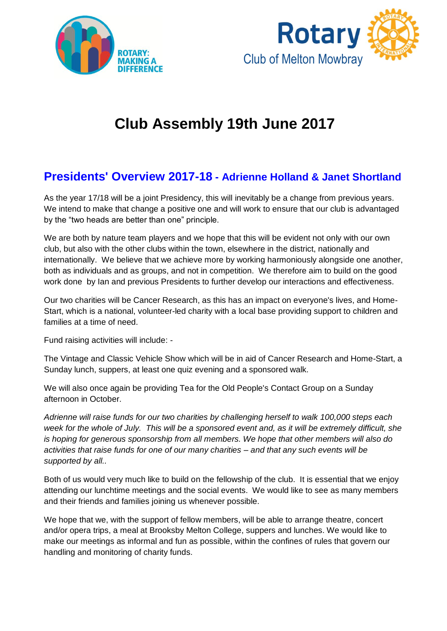



# **Club Assembly 19th June 2017**

# **Presidents' Overview 2017-18 - Adrienne Holland & Janet Shortland**

As the year 17/18 will be a joint Presidency, this will inevitably be a change from previous years. We intend to make that change a positive one and will work to ensure that our club is advantaged by the "two heads are better than one" principle.

We are both by nature team players and we hope that this will be evident not only with our own club, but also with the other clubs within the town, elsewhere in the district, nationally and internationally. We believe that we achieve more by working harmoniously alongside one another, both as individuals and as groups, and not in competition. We therefore aim to build on the good work done by Ian and previous Presidents to further develop our interactions and effectiveness.

Our two charities will be Cancer Research, as this has an impact on everyone's lives, and Home-Start, which is a national, volunteer-led charity with a local base providing support to children and families at a time of need.

Fund raising activities will include: -

The Vintage and Classic Vehicle Show which will be in aid of Cancer Research and Home-Start, a Sunday lunch, suppers, at least one quiz evening and a sponsored walk.

We will also once again be providing Tea for the Old People's Contact Group on a Sunday afternoon in October.

*Adrienne will raise funds for our two charities by challenging herself to walk 100,000 steps each week for the whole of July. This will be a sponsored event and, as it will be extremely difficult, she is hoping for generous sponsorship from all members. We hope that other members will also do activities that raise funds for one of our many charities – and that any such events will be supported by all..*

Both of us would very much like to build on the fellowship of the club. It is essential that we enjoy attending our lunchtime meetings and the social events. We would like to see as many members and their friends and families joining us whenever possible.

We hope that we, with the support of fellow members, will be able to arrange theatre, concert and/or opera trips, a meal at Brooksby Melton College, suppers and lunches. We would like to make our meetings as informal and fun as possible, within the confines of rules that govern our handling and monitoring of charity funds.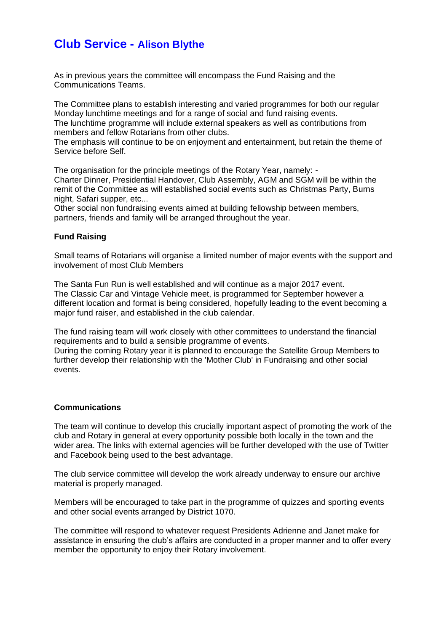## **Club Service - Alison Blythe**

As in previous years the committee will encompass the Fund Raising and the Communications Teams.

The Committee plans to establish interesting and varied programmes for both our regular Monday lunchtime meetings and for a range of social and fund raising events.

The lunchtime programme will include external speakers as well as contributions from members and fellow Rotarians from other clubs.

The emphasis will continue to be on enjoyment and entertainment, but retain the theme of Service before Self.

The organisation for the principle meetings of the Rotary Year, namely: - Charter Dinner, Presidential Handover, Club Assembly, AGM and SGM will be within the remit of the Committee as will established social events such as Christmas Party, Burns night, Safari supper, etc...

Other social non fundraising events aimed at building fellowship between members, partners, friends and family will be arranged throughout the year.

#### **Fund Raising**

Small teams of Rotarians will organise a limited number of major events with the support and involvement of most Club Members

The Santa Fun Run is well established and will continue as a major 2017 event. The Classic Car and Vintage Vehicle meet, is programmed for September however a different location and format is being considered, hopefully leading to the event becoming a major fund raiser, and established in the club calendar.

The fund raising team will work closely with other committees to understand the financial requirements and to build a sensible programme of events.

During the coming Rotary year it is planned to encourage the Satellite Group Members to further develop their relationship with the 'Mother Club' in Fundraising and other social events.

#### **Communications**

The team will continue to develop this crucially important aspect of promoting the work of the club and Rotary in general at every opportunity possible both locally in the town and the wider area. The links with external agencies will be further developed with the use of Twitter and Facebook being used to the best advantage.

The club service committee will develop the work already underway to ensure our archive material is properly managed.

Members will be encouraged to take part in the programme of quizzes and sporting events and other social events arranged by District 1070.

The committee will respond to whatever request Presidents Adrienne and Janet make for assistance in ensuring the club's affairs are conducted in a proper manner and to offer every member the opportunity to enjoy their Rotary involvement.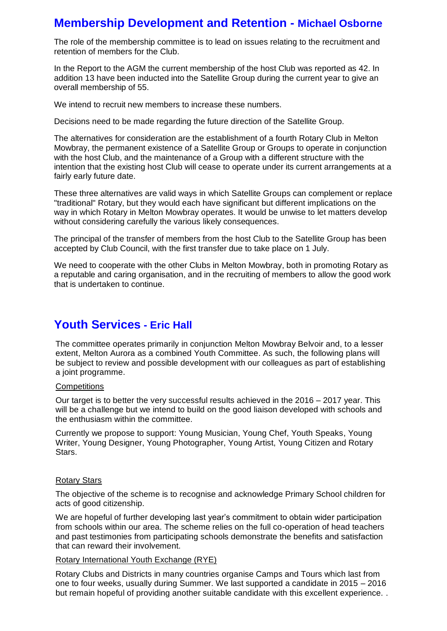### **Membership Development and Retention - Michael Osborne**

The role of the membership committee is to lead on issues relating to the recruitment and retention of members for the Club.

In the Report to the AGM the current membership of the host Club was reported as 42. In addition 13 have been inducted into the Satellite Group during the current year to give an overall membership of 55.

We intend to recruit new members to increase these numbers.

Decisions need to be made regarding the future direction of the Satellite Group.

The alternatives for consideration are the establishment of a fourth Rotary Club in Melton Mowbray, the permanent existence of a Satellite Group or Groups to operate in conjunction with the host Club, and the maintenance of a Group with a different structure with the intention that the existing host Club will cease to operate under its current arrangements at a fairly early future date.

These three alternatives are valid ways in which Satellite Groups can complement or replace "traditional" Rotary, but they would each have significant but different implications on the way in which Rotary in Melton Mowbray operates. It would be unwise to let matters develop without considering carefully the various likely consequences.

The principal of the transfer of members from the host Club to the Satellite Group has been accepted by Club Council, with the first transfer due to take place on 1 July.

We need to cooperate with the other Clubs in Melton Mowbray, both in promoting Rotary as a reputable and caring organisation, and in the recruiting of members to allow the good work that is undertaken to continue.

### **Youth Services - Eric Hall**

The committee operates primarily in conjunction Melton Mowbray Belvoir and, to a lesser extent, Melton Aurora as a combined Youth Committee. As such, the following plans will be subject to review and possible development with our colleagues as part of establishing a joint programme.

#### **Competitions**

Our target is to better the very successful results achieved in the 2016 – 2017 year. This will be a challenge but we intend to build on the good liaison developed with schools and the enthusiasm within the committee.

Currently we propose to support: Young Musician, Young Chef, Youth Speaks, Young Writer, Young Designer, Young Photographer, Young Artist, Young Citizen and Rotary Stars.

#### Rotary Stars

The objective of the scheme is to recognise and acknowledge Primary School children for acts of good citizenship.

We are hopeful of further developing last year's commitment to obtain wider participation from schools within our area. The scheme relies on the full co-operation of head teachers and past testimonies from participating schools demonstrate the benefits and satisfaction that can reward their involvement.

#### Rotary International Youth Exchange (RYE)

Rotary Clubs and Districts in many countries organise Camps and Tours which last from one to four weeks, usually during Summer. We last supported a candidate in 2015 – 2016 but remain hopeful of providing another suitable candidate with this excellent experience. .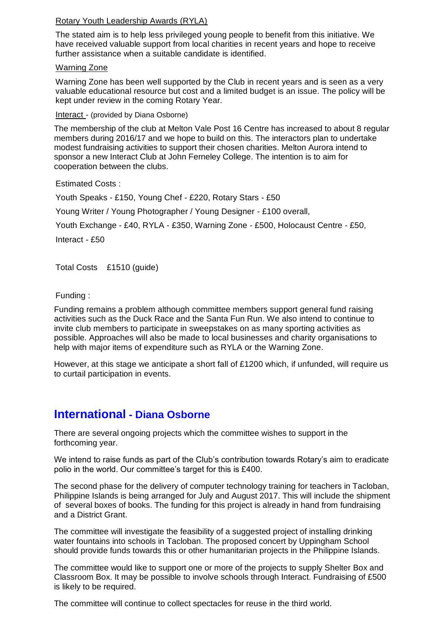#### Rotary Youth Leadership Awards (RYLA)

The stated aim is to help less privileged young people to benefit from this initiative. We have received valuable support from local charities in recent years and hope to receive further assistance when a suitable candidate is identified.

#### Warning Zone

Warning Zone has been well supported by the Club in recent years and is seen as a very valuable educational resource but cost and a limited budget is an issue. The policy will be kept under review in the coming Rotary Year.

Interact - (provided by Diana Osborne)

The membership of the club at Melton Vale Post 16 Centre has increased to about 8 regular members during 2016/17 and we hope to build on this. The interactors plan to undertake modest fundraising activities to support their chosen charities. Melton Aurora intend to sponsor a new Interact Club at John Ferneley College. The intention is to aim for cooperation between the clubs.

Estimated Costs :

Youth Speaks - £150, Young Chef - £220, Rotary Stars - £50

Young Writer / Young Photographer / Young Designer - £100 overall,

Youth Exchange - £40, RYLA - £350, Warning Zone - £500, Holocaust Centre - £50,

Interact - £50

Total Costs £1510 (guide)

Funding :

Funding remains a problem although committee members support general fund raising activities such as the Duck Race and the Santa Fun Run. We also intend to continue to invite club members to participate in sweepstakes on as many sporting activities as possible. Approaches will also be made to local businesses and charity organisations to help with major items of expenditure such as RYLA or the Warning Zone.

However, at this stage we anticipate a short fall of £1200 which, if unfunded, will require us to curtail participation in events.

### **International - Diana Osborne**

There are several ongoing projects which the committee wishes to support in the forthcoming year.

We intend to raise funds as part of the Club's contribution towards Rotary's aim to eradicate polio in the world. Our committee's target for this is £400.

The second phase for the delivery of computer technology training for teachers in Tacloban, Philippine Islands is being arranged for July and August 2017. This will include the shipment of several boxes of books. The funding for this project is already in hand from fundraising and a District Grant.

The committee will investigate the feasibility of a suggested project of installing drinking water fountains into schools in Tacloban. The proposed concert by Uppingham School should provide funds towards this or other humanitarian projects in the Philippine Islands.

The committee would like to support one or more of the projects to supply Shelter Box and Classroom Box. It may be possible to involve schools through Interact. Fundraising of £500 is likely to be required.

The committee will continue to collect spectacles for reuse in the third world.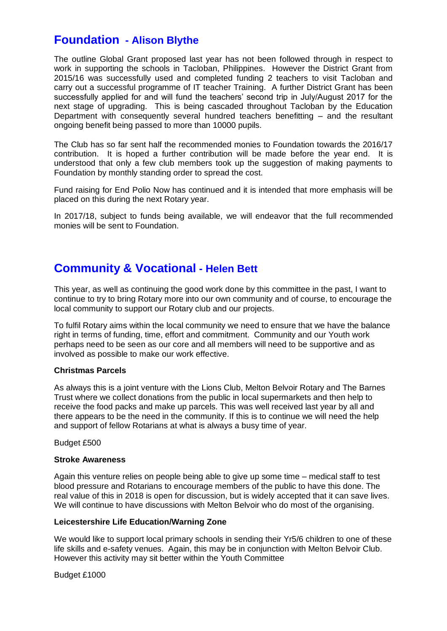### **Foundation - Alison Blythe**

The outline Global Grant proposed last year has not been followed through in respect to work in supporting the schools in Tacloban, Philippines. However the District Grant from 2015/16 was successfully used and completed funding 2 teachers to visit Tacloban and carry out a successful programme of IT teacher Training. A further District Grant has been successfully applied for and will fund the teachers' second trip in July/August 2017 for the next stage of upgrading. This is being cascaded throughout Tacloban by the Education Department with consequently several hundred teachers benefitting – and the resultant ongoing benefit being passed to more than 10000 pupils.

The Club has so far sent half the recommended monies to Foundation towards the 2016/17 contribution. It is hoped a further contribution will be made before the year end. It is understood that only a few club members took up the suggestion of making payments to Foundation by monthly standing order to spread the cost.

Fund raising for End Polio Now has continued and it is intended that more emphasis will be placed on this during the next Rotary year.

In 2017/18, subject to funds being available, we will endeavor that the full recommended monies will be sent to Foundation.

### **Community & Vocational - Helen Bett**

This year, as well as continuing the good work done by this committee in the past, I want to continue to try to bring Rotary more into our own community and of course, to encourage the local community to support our Rotary club and our projects.

To fulfil Rotary aims within the local community we need to ensure that we have the balance right in terms of funding, time, effort and commitment. Community and our Youth work perhaps need to be seen as our core and all members will need to be supportive and as involved as possible to make our work effective.

#### **Christmas Parcels**

As always this is a joint venture with the Lions Club, Melton Belvoir Rotary and The Barnes Trust where we collect donations from the public in local supermarkets and then help to receive the food packs and make up parcels. This was well received last year by all and there appears to be the need in the community. If this is to continue we will need the help and support of fellow Rotarians at what is always a busy time of year.

Budget £500

#### **Stroke Awareness**

Again this venture relies on people being able to give up some time – medical staff to test blood pressure and Rotarians to encourage members of the public to have this done. The real value of this in 2018 is open for discussion, but is widely accepted that it can save lives. We will continue to have discussions with Melton Belvoir who do most of the organising.

#### **Leicestershire Life Education/Warning Zone**

We would like to support local primary schools in sending their Yr5/6 children to one of these life skills and e-safety venues. Again, this may be in conjunction with Melton Belvoir Club. However this activity may sit better within the Youth Committee

Budget £1000